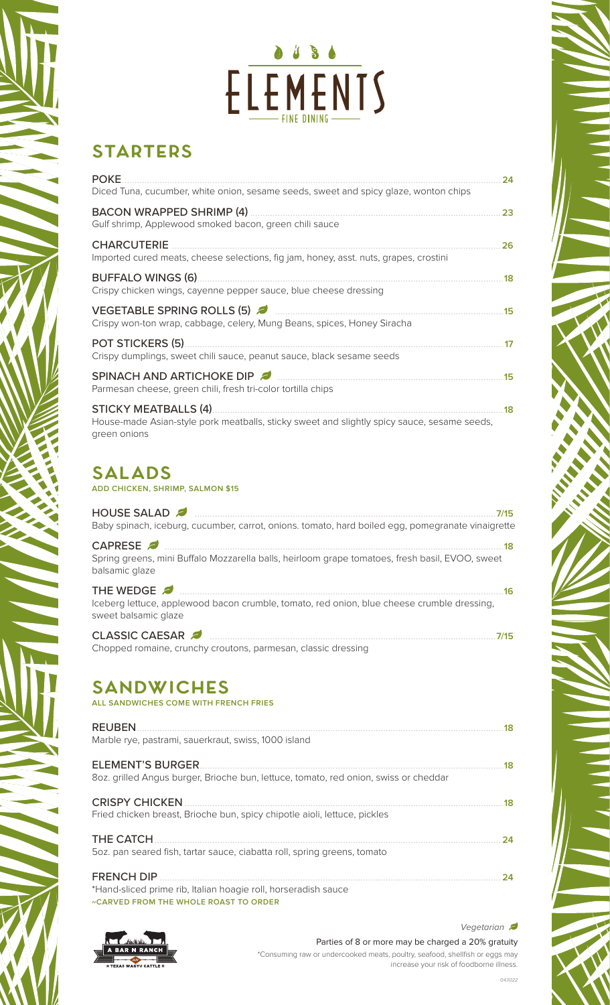## $\bullet 1 8 6$ ELEMENTS

### **Starters**

| <b>POKE</b>                                                                                                                                | 24 |
|--------------------------------------------------------------------------------------------------------------------------------------------|----|
| Diced Tuna, cucumber, white onion, sesame seeds, sweet and spicy glaze, wonton chips                                                       |    |
| Gulf shrimp, Applewood smoked bacon, green chili sauce                                                                                     | 23 |
| <b>CHARCUTERIE</b><br>Imported cured meats, cheese selections, fig jam, honey, asst. nuts, grapes, crostini                                | 26 |
| Crispy chicken wings, cayenne pepper sauce, blue cheese dressing                                                                           | 18 |
| VEGETABLE SPRING ROLLS (5)<br>Crispy won-ton wrap, cabbage, celery, Mung Beans, spices, Honey Siracha                                      | 15 |
| <b>POT STICKERS (5)</b><br>Crispy dumplings, sweet chili sauce, peanut sauce, black sesame seeds                                           | 17 |
| SPINACH AND ARTICHOKE DIP<br>Parmesan cheese, green chili, fresh tri-color tortilla chips                                                  | 15 |
| <b>STICKY MEATBALLS (4)</b><br>House-made Asian-style pork meatballs, sticky sweet and slightly spicy sauce, sesame seeds,<br>green onions | 18 |

### **Salads**

**ADD CHICKEN, SHRIMP, SALMON \$15**

| HOUSE SALAD<br>7/15<br>Baby spinach, iceburg, cucumber, carrot, onions. tomato, hard boiled egg, pomegranate vinaigrette                                                                                                                                                                                                                                       |
|----------------------------------------------------------------------------------------------------------------------------------------------------------------------------------------------------------------------------------------------------------------------------------------------------------------------------------------------------------------|
| . 18<br>Spring greens, mini Buffalo Mozzarella balls, heirloom grape tomatoes, fresh basil, EVOO, sweet<br>balsamic glaze                                                                                                                                                                                                                                      |
| THE WEDGE 2 <b>2000 manufacturers</b> and the WEDGE 2 manufacturers and the WEDGE 2 manufacturers and the USD of the USD of the USD of the USD of the USD of the USD of the USD of the USD of the USD of the USD of the USD of the<br>16<br>Iceberg lettuce, applewood bacon crumble, tomato, red onion, blue cheese crumble dressing,<br>sweet balsamic glaze |
| CLASSIC CAESAR 2<br>7/15<br>Objective and the contraction of the contraction of the contract of the contract of the contract of the contract of the contract of the contract of the contract of the contract of the contract of the contract of the contra                                                                                                     |

#### Chopped romaine, crunchy croutons, parmesan, classic dressing

#### **Sandwiches ALL SANDWICHES COME WITH FRENCH FRIES**

| <b>REUBEN</b><br>Marble rye, pastrami, sauerkraut, swiss, 1000 island                                                               | 18 |
|-------------------------------------------------------------------------------------------------------------------------------------|----|
| <b>ELEMENT'S BURGER</b>                                                                                                             | 18 |
| 80z. grilled Angus burger, Brioche bun, lettuce, tomato, red onion, swiss or cheddar<br><b>CRISPY CHICKEN</b>                       | 18 |
| Fried chicken breast, Brioche bun, spicy chipotle aioli, lettuce, pickles                                                           |    |
| THE CATCH<br>50z. pan seared fish, tartar sauce, ciabatta roll, spring greens, tomato                                               | 24 |
| <b>FRENCH DIP</b><br>*Hand-sliced prime rib, Italian hoagie roll, horseradish sauce<br><b>«CARVED FROM THE WHOLE ROAST TO ORDER</b> | 24 |



Parties of 8 or more may be charged a 20% gratuity \*Consuming raw or undercooked meats, poultry, seafood, shellfish or eggs may increase your risk of foodborne illness. *Vegetarian* 

**Registration**